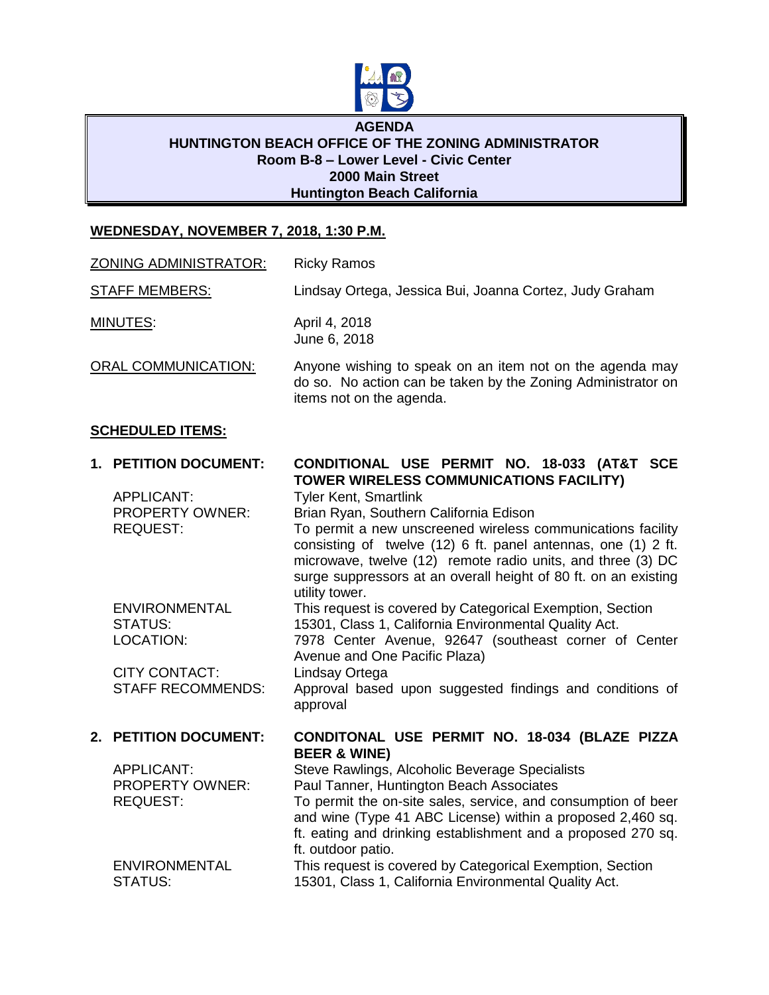

### **AGENDA HUNTINGTON BEACH OFFICE OF THE ZONING ADMINISTRATOR Room B-8 – Lower Level - Civic Center 2000 Main Street Huntington Beach California**

# **WEDNESDAY, NOVEMBER 7, 2018, 1:30 P.M.**

| <b>ZONING ADMINISTRATOR:</b> | <b>Ricky Ramos</b> |
|------------------------------|--------------------|
|------------------------------|--------------------|

STAFF MEMBERS: Lindsay Ortega, Jessica Bui, Joanna Cortez, Judy Graham

MINUTES: April 4, 2018 June 6, 2018

ORAL COMMUNICATION: Anyone wishing to speak on an item not on the agenda may do so. No action can be taken by the Zoning Administrator on items not on the agenda.

### **SCHEDULED ITEMS:**

| 1. PETITION DOCUMENT:    | CONDITIONAL USE PERMIT NO. 18-033 (AT&T SCE                                                                                                                                                                       |
|--------------------------|-------------------------------------------------------------------------------------------------------------------------------------------------------------------------------------------------------------------|
|                          | TOWER WIRELESS COMMUNICATIONS FACILITY)                                                                                                                                                                           |
| <b>APPLICANT:</b>        | <b>Tyler Kent, Smartlink</b>                                                                                                                                                                                      |
| <b>PROPERTY OWNER:</b>   | Brian Ryan, Southern California Edison                                                                                                                                                                            |
| <b>REQUEST:</b>          | To permit a new unscreened wireless communications facility<br>consisting of twelve (12) 6 ft. panel antennas, one (1) 2 ft.                                                                                      |
|                          | microwave, twelve (12) remote radio units, and three (3) DC                                                                                                                                                       |
|                          | surge suppressors at an overall height of 80 ft. on an existing<br>utility tower.                                                                                                                                 |
| <b>ENVIRONMENTAL</b>     | This request is covered by Categorical Exemption, Section                                                                                                                                                         |
| STATUS:                  | 15301, Class 1, California Environmental Quality Act.                                                                                                                                                             |
| LOCATION:                | 7978 Center Avenue, 92647 (southeast corner of Center<br>Avenue and One Pacific Plaza)                                                                                                                            |
| <b>CITY CONTACT:</b>     | Lindsay Ortega                                                                                                                                                                                                    |
| <b>STAFF RECOMMENDS:</b> | Approval based upon suggested findings and conditions of<br>approval                                                                                                                                              |
| 2. PETITION DOCUMENT:    | CONDITONAL USE PERMIT NO. 18-034 (BLAZE PIZZA<br><b>BEER &amp; WINE)</b>                                                                                                                                          |
| <b>APPLICANT:</b>        | Steve Rawlings, Alcoholic Beverage Specialists                                                                                                                                                                    |
| <b>PROPERTY OWNER:</b>   | Paul Tanner, Huntington Beach Associates                                                                                                                                                                          |
| <b>REQUEST:</b>          | To permit the on-site sales, service, and consumption of beer<br>and wine (Type 41 ABC License) within a proposed 2,460 sq.<br>ft. eating and drinking establishment and a proposed 270 sq.<br>ft. outdoor patio. |
| <b>ENVIRONMENTAL</b>     | This request is covered by Categorical Exemption, Section                                                                                                                                                         |
| STATUS:                  | 15301, Class 1, California Environmental Quality Act.                                                                                                                                                             |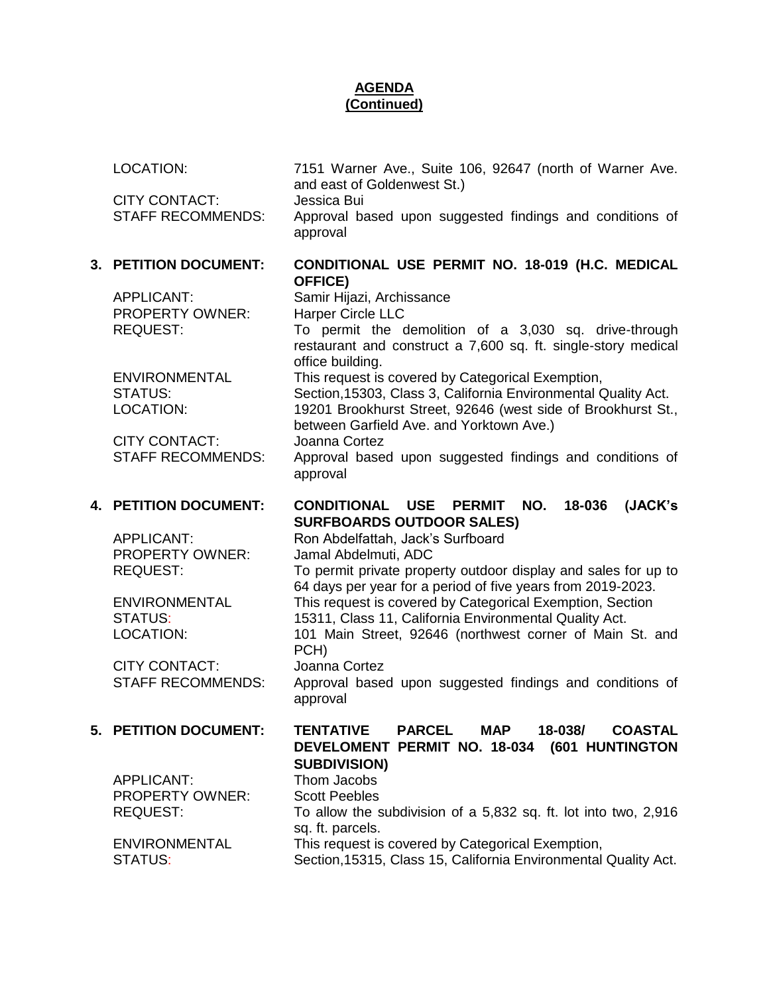# **AGENDA (Continued)**

LOCATION: 7151 Warner Ave., Suite 106, 92647 (north of Warner Ave. and east of Goldenwest St.)

CITY CONTACT: Jessica Bui

STAFF RECOMMENDS: Approval based upon suggested findings and conditions of approval

## **3. PETITION DOCUMENT: CONDITIONAL USE PERMIT NO. 18-019 (H.C. MEDICAL OFFICE)**

APPLICANT: Samir Hijazi, Archissance PROPERTY OWNER: Harper Circle LLC

CITY CONTACT: Joanna Cortez

CITY CONTACT: Joanna Cortez

APPLICANT: Thom Jacobs PROPERTY OWNER: Scott Peebles

REQUEST: To permit the demolition of a 3,030 sq. drive-through restaurant and construct a 7,600 sq. ft. single-story medical office building. ENVIRONMENTAL This request is covered by Categorical Exemption, STATUS: Section,15303, Class 3, California Environmental Quality Act. LOCATION: 19201 Brookhurst Street, 92646 (west side of Brookhurst St., between Garfield Ave. and Yorktown Ave.) STAFF RECOMMENDS: Approval based upon suggested findings and conditions of approval

# **4. PETITION DOCUMENT: CONDITIONAL USE PERMIT NO. 18-036 (JACK's SURFBOARDS OUTDOOR SALES)**

APPLICANT: Ron Abdelfattah, Jack's Surfboard PROPERTY OWNER: Jamal Abdelmuti, ADC REQUEST: To permit private property outdoor display and sales for up to 64 days per year for a period of five years from 2019-2023. ENVIRONMENTAL This request is covered by Categorical Exemption, Section STATUS: 15311, Class 11, California Environmental Quality Act. LOCATION: 101 Main Street, 92646 (northwest corner of Main St. and PCH) STAFF RECOMMENDS: Approval based upon suggested findings and conditions of approval

## **5. PETITION DOCUMENT: TENTATIVE PARCEL MAP 18-038/ COASTAL DEVELOMENT PERMIT NO. 18-034 (601 HUNTINGTON SUBDIVISION)**

REQUEST: To allow the subdivision of a 5,832 sq. ft. lot into two, 2,916 sq. ft. parcels. ENVIRONMENTAL This request is covered by Categorical Exemption,

STATUS: Section,15315, Class 15, California Environmental Quality Act.